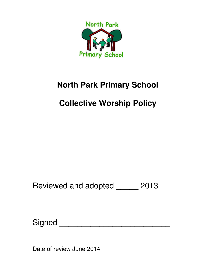

# **North Park Primary School**

# **Collective Worship Policy**

Reviewed and adopted \_\_\_\_\_ 2013

Signed \_\_\_\_\_\_\_\_\_\_\_\_\_\_\_\_\_\_\_\_\_\_\_\_\_

Date of review June 2014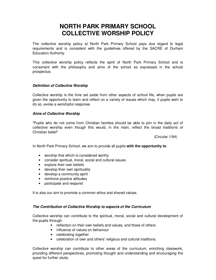## **NORTH PARK PRIMARY SCHOOL COLLECTIVE WORSHIP POLICY**

The collective worship policy at North Park Primary School pays due regard to legal requirements and is consistent with the guidelines offered by the SACRE of Durham Education Authority.

This collective worship policy reflects the spirit of North Park Primary School and is consonant with the philosophy and aims of the school as expressed in the school prospectus.

### **Definition of Collective Worship**

Collective worship is the time set aside from other aspects of school life, when pupils are given the opportunity to learn and reflect on a variety of issues which may, if pupils wish to do so, evoke a worshipful response.

#### **Aims of Collective Worship**

"Pupils who do not come from Christian families should be able to join in the daily act of collective worship even though this would, in the main, reflect the broad traditions of Christian belief"

(Circular 1/94)

In North Park Primary School, we aim to provide all pupils **with the opportunity to**:

- worship that which is considered worthy
- consider spiritual, moral, social and cultural issues
- explore their own beliefs
- develop their own spirituality
- develop a community spirit
- reinforce positive attitudes
- participate and respond

It is also our aim to promote a common ethos and shared values.

#### **The Contribution of Collective Worship to aspects of the Curriculum**

Collective worship can contribute to the spiritual, moral, social and cultural development of the pupils through:

- reflection on their own beliefs and values, and those of others
- influence of values on behaviour
- celebrating together
- celebration of own and others' religious and cultural traditions.

Collective worship can contribute to other areas of the curriculum, enriching classwork, providing different perspectives, promoting thought and understanding and encouraging the quest for further study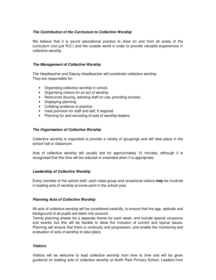### **The Contribution of the Curriculum to Collective Worship**

We believe that it is sound educational practice to draw on and from all areas of the curriculum (not just R.E.) and the outside world in order to provide valuable experiences in collective worship.

#### **The Management of Collective Worship**

The Headteacher and Deputy Headteacher will coordinate collective worship. They are responsible for:

- Organising collective worship in school.
- Organising visitors for an act of worship
- Resources (buying, advising staff on use, providing access)
- Displaying planning
- Collating evidence of practice
- Inset provision for staff and self, if required
- Planning for and recording of acts of worship leaders

#### **The Organisation of Collective Worship**

Collective worship is organised to provide a variety of groupings and will take place in the school hall or classroom.

Acts of collective worship will usually last for approximately 15 minutes, although it is recognised that this time will be reduced or extended when it is appropriate.

#### **Leadership of Collective Worship**

Every member of the school staff, each class group and occasional visitors **may** be involved in leading acts of worship at some point in the school year.

#### **Planning Acts of Collective Worship**

All acts of collective worship will be considered carefully, to ensure that the age, aptitude and background of all pupils are taken into account.

Termly planning sheets list a separate theme for each week, and include special occasions and events, but this will be flexible to allow the inclusion of current and topical issues. Planning will ensure that there is continuity and progression, and enable the monitoring and evaluation of acts of worship to take place.

#### **Visitors**

Visitors will be welcome to lead collective worship from time to time and will be given guidance on leading acts of collective worship at North Park Primary School. Leaders from